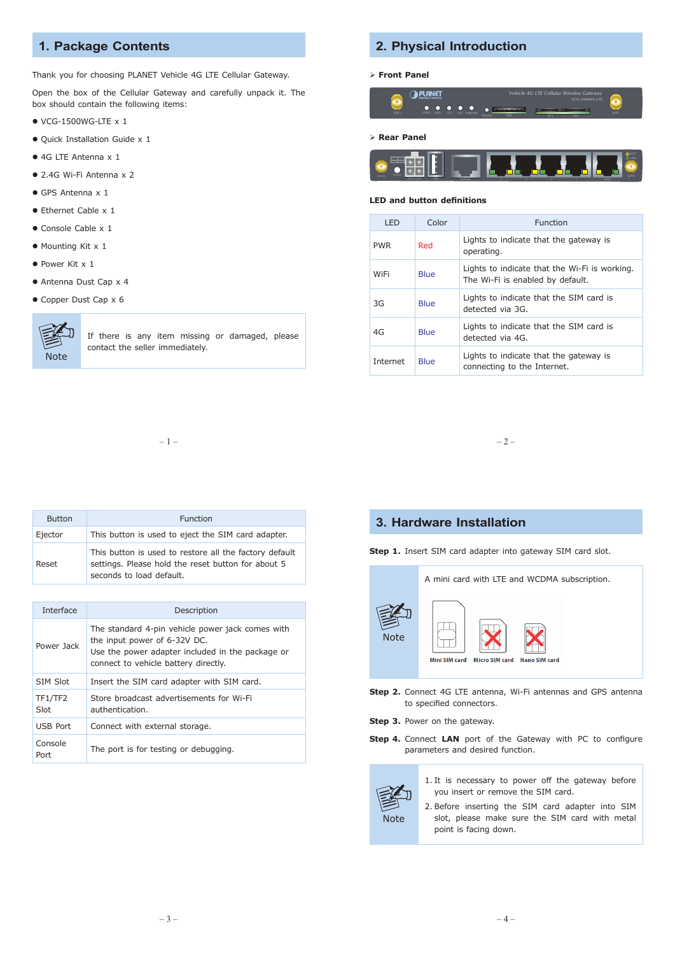## **1. Package Contents**

Thank you for choosing PLANET Vehicle 4G LTE Cellular Gateway.

Open the box of the Cellular Gateway and carefully unpack it. The box should contain the following items:

- $\bullet$  VCG-1500WG-LTE  $\times$  1
- Quick Installation Guide x 1
- 4G LTE Antenna x 1
- 2.4G Wi-Fi Antenna x 2
- GPS Antenna x 1
- Ethernet Cable x 1
- Console Cable x 1
- Mounting Kit x 1
- Power Kit x 1
- Antenna Dust Cap x 4
- Copper Dust Cap x 6



If there is any item missing or damaged, please contact the seller immediately.

#### **2. Physical Introduction**

#### **Front Panel**



 **Rear Panel**



#### **LED and button definitions**

| I FD       | Color | Function                                                                          |
|------------|-------|-----------------------------------------------------------------------------------|
| <b>PWR</b> | Red   | Lights to indicate that the gateway is<br>operating.                              |
| WiFi       | Blue  | Lights to indicate that the Wi-Fi is working.<br>The Wi-Fi is enabled by default. |
| 3G         | Blue  | Lights to indicate that the SIM card is<br>detected via 3G.                       |
| 4G         | Blue  | Lights to indicate that the SIM card is<br>detected via 4G.                       |
| Internet   | Blue  | Lights to indicate that the gateway is<br>connecting to the Internet.             |

 $-1 -$ 

| <b>Button</b> | Function                                                                                                                                 |
|---------------|------------------------------------------------------------------------------------------------------------------------------------------|
| Ejector       | This button is used to eject the SIM card adapter.                                                                                       |
| Reset         | This button is used to restore all the factory default<br>settings. Please hold the reset button for about 5<br>seconds to load default. |

| Interface       | Description                                                                                                                                                                  |
|-----------------|------------------------------------------------------------------------------------------------------------------------------------------------------------------------------|
| Power Jack      | The standard 4-pin vehicle power jack comes with<br>the input power of 6-32V DC.<br>Use the power adapter included in the package or<br>connect to vehicle battery directly. |
| SIM Slot        | Insert the SIM card adapter with SIM card.                                                                                                                                   |
| TF1/TF2<br>Slot | Store broadcast advertisements for Wi-Fi<br>authentication.                                                                                                                  |
| USB Port        | Connect with external storage.                                                                                                                                               |
| Console<br>Port | The port is for testing or debugging.                                                                                                                                        |

### **3. Hardware Installation**

**Step 1.** Insert SIM card adapter into gateway SIM card slot.



- **Step 2.** Connect 4G LTE antenna, Wi-Fi antennas and GPS antenna to specified connectors.
- **Step 3.** Power on the gateway.
- **Step 4.** Connect **LAN** port of the Gateway with PC to configure parameters and desired function.



- 1. It is necessary to power off the gateway before you insert or remove the SIM card.
- 2. Before inserting the SIM card adapter into SIM slot, please make sure the SIM card with metal point is facing down.